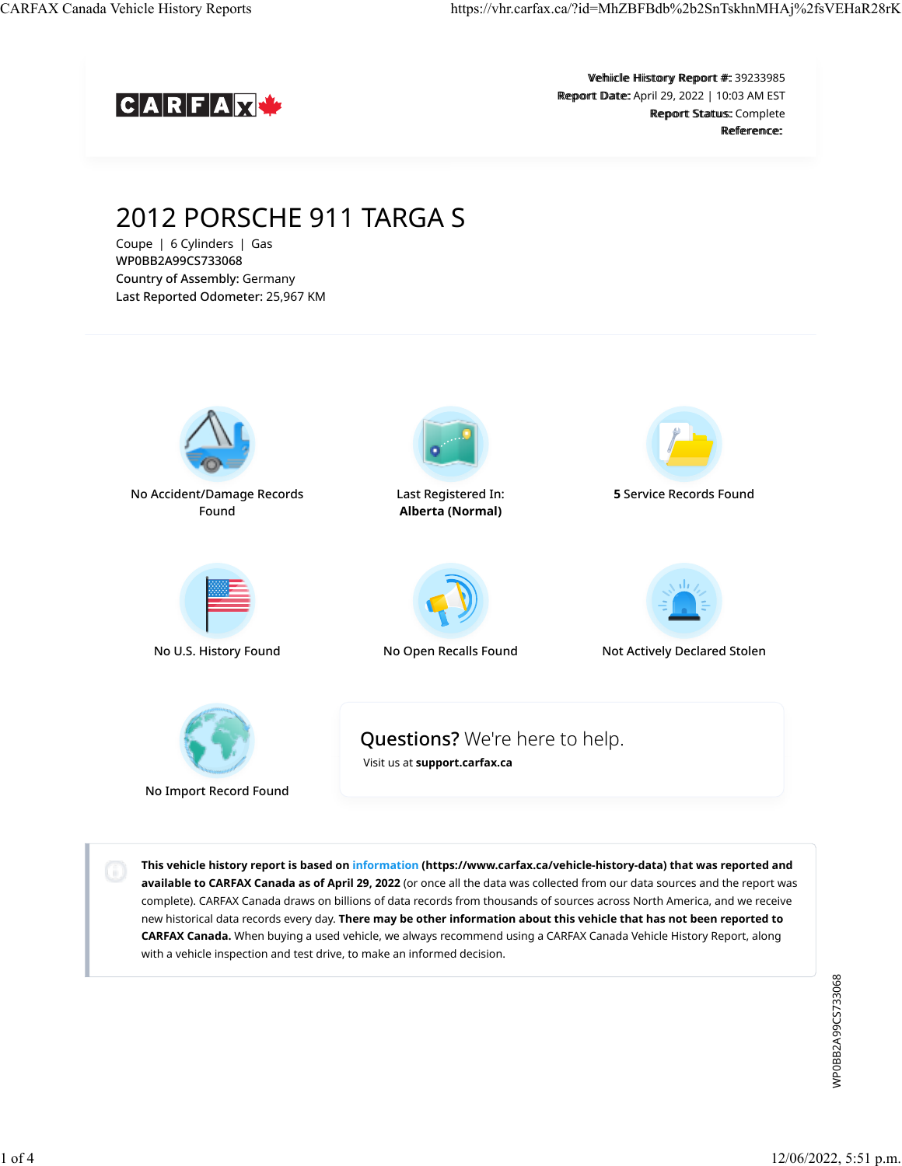

Vehiicle Hiistory Report #:: 39233985 Report Date: April 29, 2022 | 10:03 AM EST Report Status: Complete Reference<sup>.</sup>

# 2012 PORSCHE 911 TARGA S

Coupe | 6 Cylinders | Gas WP0BB2A99CS733068 Country of Assembly: Germany Last Reported Odometer: 25,967 KM



No Acc[ident/Damage R](https://vhr.carfax.ca/?id=MhZBFBdb%2b2SnTskhnMHAj%2fsVEHaR28rK#accident-damage-section)ecords Found



L[ast Registered In](https://vhr.carfax.ca/?id=MhZBFBdb%2b2SnTskhnMHAj%2fsVEHaR28rK#registration-section): **Alberta (Normal)**



**5** Se[rvice Records Fo](https://vhr.carfax.ca/?id=MhZBFBdb%2b2SnTskhnMHAj%2fsVEHaR28rK#service-history-section)und





Questions? We're here to help.



No U.S. History Found No [Open Recalls Fou](https://vhr.carfax.ca/?id=MhZBFBdb%2b2SnTskhnMHAj%2fsVEHaR28rK#recalls-section)nd Not A[ctively Declared](https://vhr.carfax.ca/?id=MhZBFBdb%2b2SnTskhnMHAj%2fsVEHaR28rK#stolen-section) Stolen



No Import Record Found

[Visit us at](https://support.carfax.ca/en/support/home) **[support.carfax.ca](https://support.carfax.ca/en/support/home)**

**This vehicle history report is based on [information](https://www.carfax.ca/vehicle-history-data) (https://www.carfax.ca/vehicle-history-data) that was reported and available to CARFAX Canada as of April 29, 2022** (or once all the data was collected from our data sources and the report was complete). CARFAX Canada draws on billions of data records from thousands of sources across North America, and we receive new historical data records every day. **There may be other information about this vehicle that has not been reported to CARFAX Canada.** When buying a used vehicle, we always recommend using a CARFAX Canada Vehicle History Report, along with a vehicle inspection and test drive, to make an informed decision.

> WP0BB2A99CS733068 WP0BB2A99CS733068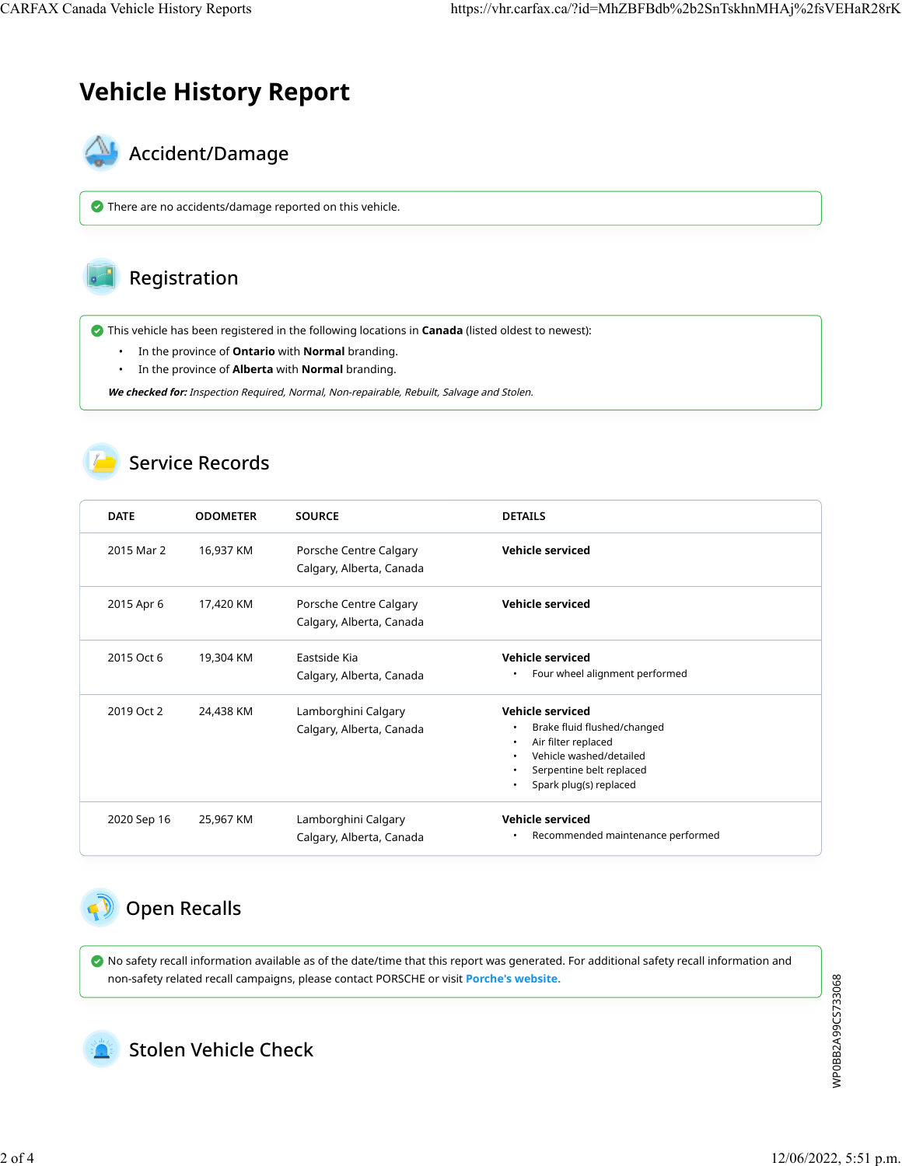## **Vehicle History Report**



There are no accidents/damage reported on this vehicle.



This vehicle has been registered in the following locations in **Canada** (listed oldest to newest):

- In the province of **Ontario** with **Normal** branding.
- In the province of **Alberta** with **Normal** branding.

**We checked for:** Inspection Required, Normal, Non-repairable, Rebuilt, Salvage and Stolen.

#### Service Records

| <b>DATE</b> | <b>ODOMETER</b> | <b>SOURCE</b>                                      | <b>DETAILS</b>                                                                                                                                                       |
|-------------|-----------------|----------------------------------------------------|----------------------------------------------------------------------------------------------------------------------------------------------------------------------|
| 2015 Mar 2  | 16,937 KM       | Porsche Centre Calgary<br>Calgary, Alberta, Canada | Vehicle serviced                                                                                                                                                     |
| 2015 Apr 6  | 17,420 KM       | Porsche Centre Calgary<br>Calgary, Alberta, Canada | Vehicle serviced                                                                                                                                                     |
| 2015 Oct 6  | 19,304 KM       | Eastside Kia<br>Calgary, Alberta, Canada           | <b>Vehicle serviced</b><br>Four wheel alignment performed                                                                                                            |
| 2019 Oct 2  | 24,438 KM       | Lamborghini Calgary<br>Calgary, Alberta, Canada    | Vehicle serviced<br>Brake fluid flushed/changed<br>Air filter replaced<br>Vehicle washed/detailed<br>Serpentine belt replaced<br>Spark plug(s) replaced<br>$\bullet$ |
| 2020 Sep 16 | 25,967 KM       | Lamborghini Calgary<br>Calgary, Alberta, Canada    | Vehicle serviced<br>Recommended maintenance performed                                                                                                                |

## $\bigcirc$  Open Recalls

 No safety recall information available as of the date/time that this report was generated. For additional safety recall information and non-safety related recall campaigns, please contact PORSCHE or visit **[Porche's website.](https://recall.porsche.com/prod/pag/vinrecalllookup.nsf/VIN?ReadForm)**



Stolen Vehicle Check

WP0BB2A99CS733068 WP0BB2A99CS733068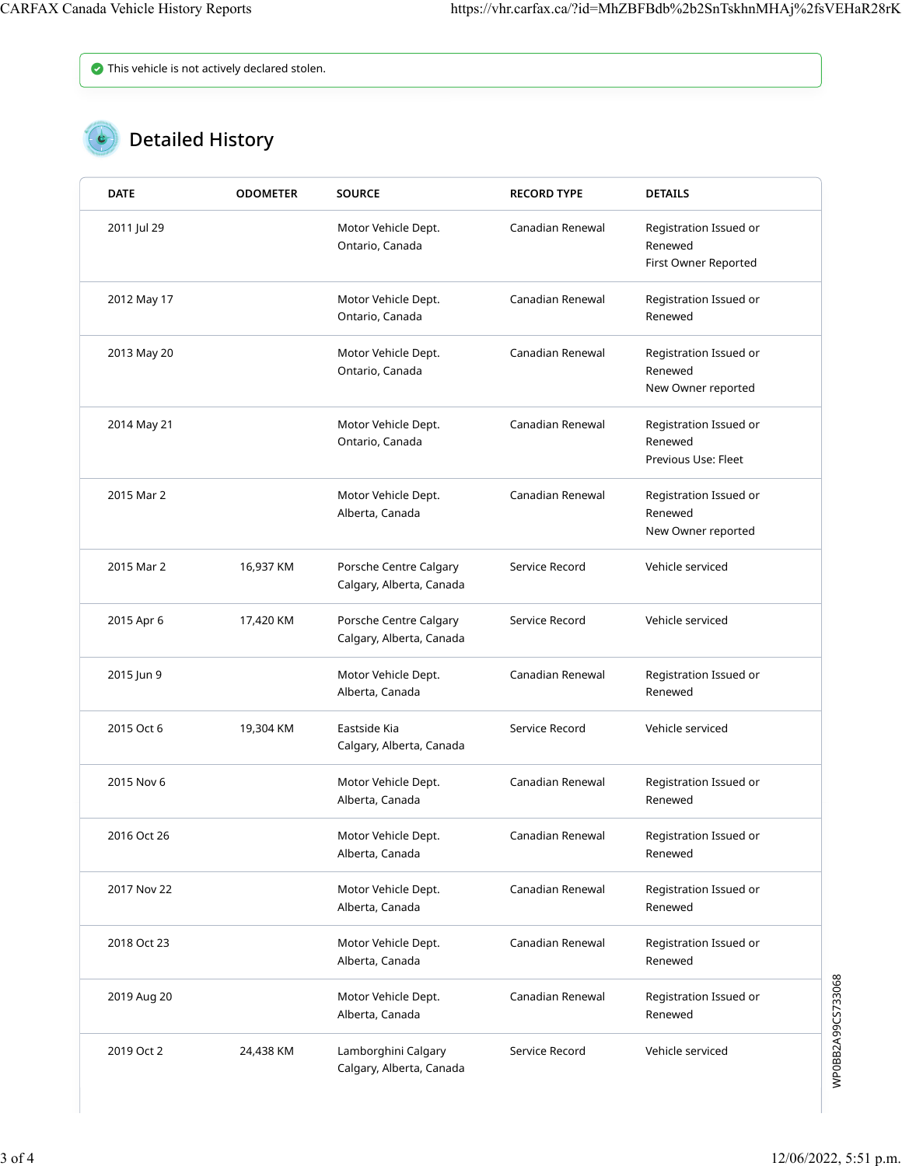This vehicle is not actively declared stolen.

### **C** Detailed History

| <b>DATE</b> | <b>ODOMETER</b> | <b>SOURCE</b>                                      | <b>RECORD TYPE</b> | <b>DETAILS</b>                                            |
|-------------|-----------------|----------------------------------------------------|--------------------|-----------------------------------------------------------|
| 2011 Jul 29 |                 | Motor Vehicle Dept.<br>Ontario, Canada             | Canadian Renewal   | Registration Issued or<br>Renewed<br>First Owner Reported |
| 2012 May 17 |                 | Motor Vehicle Dept.<br>Ontario, Canada             | Canadian Renewal   | Registration Issued or<br>Renewed                         |
| 2013 May 20 |                 | Motor Vehicle Dept.<br>Ontario, Canada             | Canadian Renewal   | Registration Issued or<br>Renewed<br>New Owner reported   |
| 2014 May 21 |                 | Motor Vehicle Dept.<br>Ontario, Canada             | Canadian Renewal   | Registration Issued or<br>Renewed<br>Previous Use: Fleet  |
| 2015 Mar 2  |                 | Motor Vehicle Dept.<br>Alberta, Canada             | Canadian Renewal   | Registration Issued or<br>Renewed<br>New Owner reported   |
| 2015 Mar 2  | 16,937 KM       | Porsche Centre Calgary<br>Calgary, Alberta, Canada | Service Record     | Vehicle serviced                                          |
| 2015 Apr 6  | 17,420 KM       | Porsche Centre Calgary<br>Calgary, Alberta, Canada | Service Record     | Vehicle serviced                                          |
| 2015 Jun 9  |                 | Motor Vehicle Dept.<br>Alberta, Canada             | Canadian Renewal   | Registration Issued or<br>Renewed                         |
| 2015 Oct 6  | 19,304 KM       | Eastside Kia<br>Calgary, Alberta, Canada           | Service Record     | Vehicle serviced                                          |
| 2015 Nov 6  |                 | Motor Vehicle Dept.<br>Alberta, Canada             | Canadian Renewal   | Registration Issued or<br>Renewed                         |
| 2016 Oct 26 |                 | Motor Vehicle Dept.<br>Alberta, Canada             | Canadian Renewal   | Registration Issued or<br>Renewed                         |
| 2017 Nov 22 |                 | Motor Vehicle Dept.<br>Alberta, Canada             | Canadian Renewal   | Registration Issued or<br>Renewed                         |
| 2018 Oct 23 |                 | Motor Vehicle Dept.<br>Alberta, Canada             | Canadian Renewal   | Registration Issued or<br>Renewed                         |
| 2019 Aug 20 |                 | Motor Vehicle Dept.<br>Alberta, Canada             | Canadian Renewal   | Registration Issued or<br>Renewed                         |
| 2019 Oct 2  | 24,438 KM       | Lamborghini Calgary<br>Calgary, Alberta, Canada    | Service Record     | Vehicle serviced                                          |

WP0BB2A99CS733068 WP0BB2A99CS733068